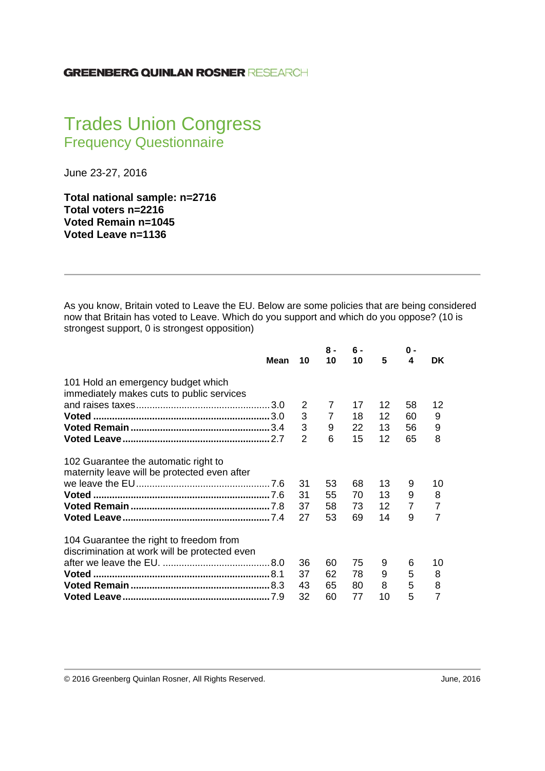## Trades Union Congress Frequency Questionnaire

June 23-27, 2016

**Total national sample: n=2716 Total voters n=2216 Voted Remain n=1045 Voted Leave n=1136** 

As you know, Britain voted to Leave the EU. Below are some policies that are being considered now that Britain has voted to Leave. Which do you support and which do you oppose? (10 is strongest support, 0 is strongest opposition)

|                                               | Mean | 10 | $8 -$<br>10    | $6 -$<br>10 | 5  | 0 -<br>4       | DK.            |
|-----------------------------------------------|------|----|----------------|-------------|----|----------------|----------------|
|                                               |      |    |                |             |    |                |                |
| 101 Hold an emergency budget which            |      |    |                |             |    |                |                |
| immediately makes cuts to public services     |      |    |                |             |    |                |                |
|                                               |      | 2  | $\overline{7}$ | 17          | 12 | 58             | 12             |
|                                               |      | 3  | $\overline{7}$ | 18          | 12 | 60             | 9              |
|                                               |      | 3  | 9              | 22          | 13 | 56             | 9              |
|                                               |      | 2  | 6              | 15          | 12 | 65             | 8              |
|                                               |      |    |                |             |    |                |                |
| 102 Guarantee the automatic right to          |      |    |                |             |    |                |                |
| maternity leave will be protected even after  |      |    |                |             |    |                |                |
|                                               |      | 31 | 53             | 68          | 13 | 9              | 10             |
|                                               |      | 31 | 55             | 70          | 13 | 9              | 8              |
|                                               |      | 37 | 58             | 73          | 12 | $\overline{7}$ | 7              |
|                                               |      | 27 | 53             | 69          | 14 | 9              | $\overline{7}$ |
| 104 Guarantee the right to freedom from       |      |    |                |             |    |                |                |
| discrimination at work will be protected even |      |    |                |             |    |                |                |
|                                               |      | 36 | 60             | 75          | 9  | 6              | 10             |
|                                               |      | 37 | 62             | 78          | 9  | 5              | 8              |
|                                               |      | 43 | 65             | 80          | 8  | 5              | 8              |
|                                               |      | 32 | 60             | 77          | 10 | 5              | 7              |
|                                               |      |    |                |             |    |                |                |